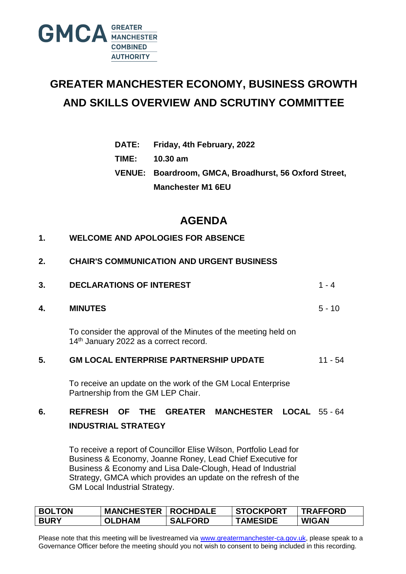

# **GREATER MANCHESTER ECONOMY, BUSINESS GROWTH AND SKILLS OVERVIEW AND SCRUTINY COMMITTEE**

| <b>DATE:</b> |  | Friday, 4th February, 2022 |  |
|--------------|--|----------------------------|--|
|              |  |                            |  |

**TIME: 10.30 am**

**VENUE: Boardroom, GMCA, Broadhurst, 56 Oxford Street, Manchester M1 6EU**

## **AGENDA**

| 2. | <b>CHAIR'S COMMUNICATION AND URGENT BUSINESS</b> |
|----|--------------------------------------------------|
|    |                                                  |

| 3. | <b>DECLARATIONS OF INTEREST</b>                                                                          |           |  |  |
|----|----------------------------------------------------------------------------------------------------------|-----------|--|--|
| 4. | <b>MINUTES</b>                                                                                           | $5 - 10$  |  |  |
|    | To consider the approval of the Minutes of the meeting held on<br>14th January 2022 as a correct record. |           |  |  |
| 5. | <b>GM LOCAL ENTERPRISE PARTNERSHIP UPDATE</b>                                                            | $11 - 54$ |  |  |
|    | To receive an update on the work of the GM Local Enterprise<br>Partnership from the GM LEP Chair.        |           |  |  |
| 6. | <b>REFRESH OF THE GREATER MANCHESTER LOCAL 55-64</b><br><b>INDUSTRIAL STRATEGY</b>                       |           |  |  |

To receive a report of Councillor Elise Wilson, Portfolio Lead for Business & Economy, Joanne Roney, Lead Chief Executive for Business & Economy and Lisa Dale-Clough, Head of Industrial Strategy, GMCA which provides an update on the refresh of the GM Local Industrial Strategy.

| <b>BOLTON</b> | <b>MANCHESTER   ROCHDALE</b> |                | <b>STOCKPORT</b> | <b>TRAFFORD</b> |
|---------------|------------------------------|----------------|------------------|-----------------|
| <b>BURY</b>   | <b>OLDHAM</b>                | <b>SALFORD</b> | <b>TAMESIDE</b>  | <b>WIGAN</b>    |

Please note that this meeting will be livestreamed via [www.greatermanchester-ca.gov.uk,](http://www.greatermanchester-ca.gov.uk/) please speak to a Governance Officer before the meeting should you not wish to consent to being included in this recording.